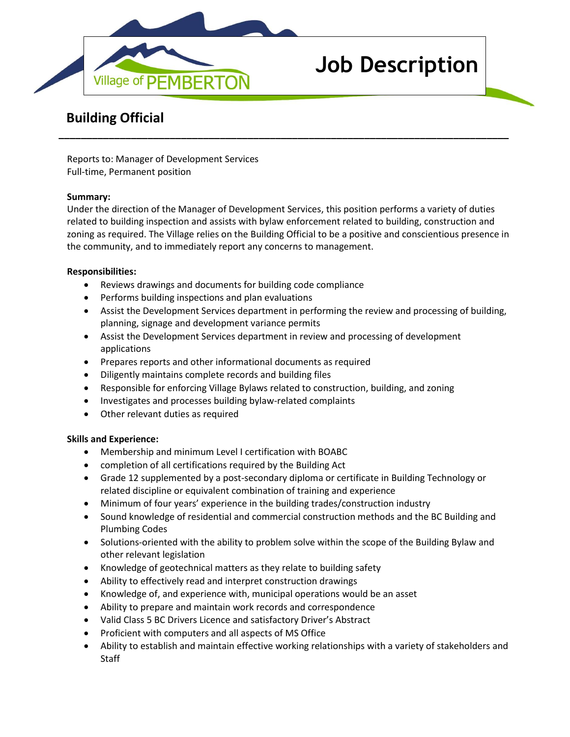

# **Job Description**

## **Building Official**

Reports to: Manager of Development Services Full-time, Permanent position

#### **Summary:**

Under the direction of the Manager of Development Services, this position performs a variety of duties related to building inspection and assists with bylaw enforcement related to building, construction and zoning as required. The Village relies on the Building Official to be a positive and conscientious presence in the community, and to immediately report any concerns to management.

**\_\_\_\_\_\_\_\_\_\_\_\_\_\_\_\_\_\_\_\_\_\_\_\_\_\_\_\_\_\_\_\_\_\_\_\_\_\_\_\_\_\_\_\_\_\_\_\_\_\_\_\_\_\_\_\_\_\_\_\_\_\_\_\_\_\_\_\_\_\_\_\_\_\_\_\_\_\_\_\_\_**

#### **Responsibilities:**

- Reviews drawings and documents for building code compliance
- Performs building inspections and plan evaluations
- Assist the Development Services department in performing the review and processing of building, planning, signage and development variance permits
- Assist the Development Services department in review and processing of development applications
- Prepares reports and other informational documents as required
- Diligently maintains complete records and building files
- Responsible for enforcing Village Bylaws related to construction, building, and zoning
- Investigates and processes building bylaw-related complaints
- Other relevant duties as required

### **Skills and Experience:**

- Membership and minimum Level I certification with BOABC
- completion of all certifications required by the Building Act
- Grade 12 supplemented by a post-secondary diploma or certificate in Building Technology or related discipline or equivalent combination of training and experience
- Minimum of four years' experience in the building trades/construction industry
- Sound knowledge of residential and commercial construction methods and the BC Building and Plumbing Codes
- Solutions-oriented with the ability to problem solve within the scope of the Building Bylaw and other relevant legislation
- Knowledge of geotechnical matters as they relate to building safety
- Ability to effectively read and interpret construction drawings
- Knowledge of, and experience with, municipal operations would be an asset
- Ability to prepare and maintain work records and correspondence
- Valid Class 5 BC Drivers Licence and satisfactory Driver's Abstract
- Proficient with computers and all aspects of MS Office
- Ability to establish and maintain effective working relationships with a variety of stakeholders and **Staff**